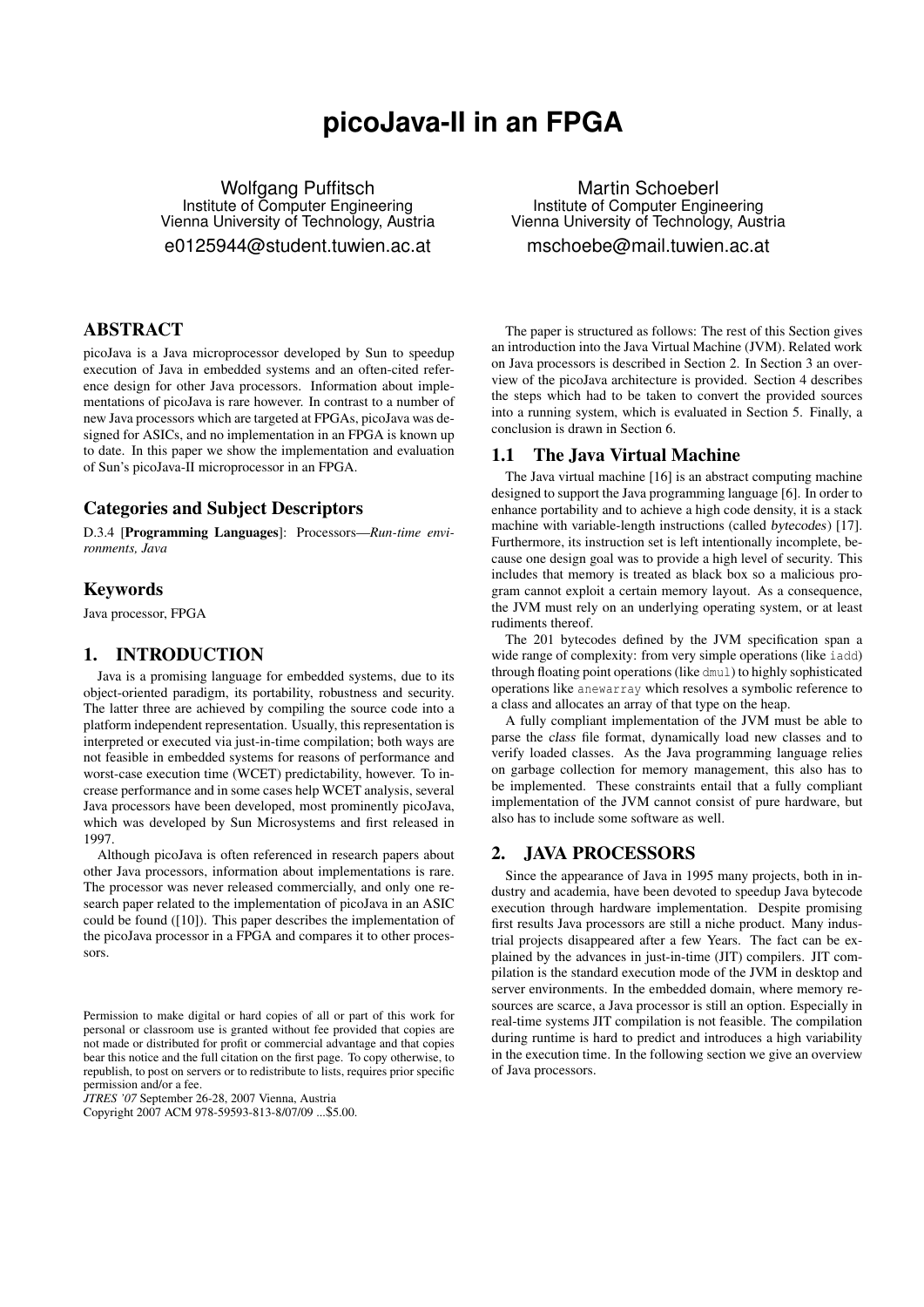# **picoJava-II in an FPGA**

Wolfgang Puffitsch Institute of Computer Engineering Vienna University of Technology, Austria e0125944@student.tuwien.ac.at

## ABSTRACT

picoJava is a Java microprocessor developed by Sun to speedup execution of Java in embedded systems and an often-cited reference design for other Java processors. Information about implementations of picoJava is rare however. In contrast to a number of new Java processors which are targeted at FPGAs, picoJava was designed for ASICs, and no implementation in an FPGA is known up to date. In this paper we show the implementation and evaluation of Sun's picoJava-II microprocessor in an FPGA.

## Categories and Subject Descriptors

D.3.4 [Programming Languages]: Processors—*Run-time environments, Java*

## Keywords

Java processor, FPGA

## 1. INTRODUCTION

Java is a promising language for embedded systems, due to its object-oriented paradigm, its portability, robustness and security. The latter three are achieved by compiling the source code into a platform independent representation. Usually, this representation is interpreted or executed via just-in-time compilation; both ways are not feasible in embedded systems for reasons of performance and worst-case execution time (WCET) predictability, however. To increase performance and in some cases help WCET analysis, several Java processors have been developed, most prominently picoJava, which was developed by Sun Microsystems and first released in 1997.

Although picoJava is often referenced in research papers about other Java processors, information about implementations is rare. The processor was never released commercially, and only one research paper related to the implementation of picoJava in an ASIC could be found ([\[10\]](#page-7-0)). This paper describes the implementation of the picoJava processor in a FPGA and compares it to other processors.

*JTRES '07* September 26-28, 2007 Vienna, Austria

Copyright 2007 ACM 978-59593-813-8/07/09 ...\$5.00.

Martin Schoeberl Institute of Computer Engineering Vienna University of Technology, Austria mschoebe@mail.tuwien.ac.at

The paper is structured as follows: The rest of this Section gives an introduction into the Java Virtual Machine (JVM). Related work on Java processors is described in Section [2.](#page-0-0) In Section [3](#page-2-0) an overview of the picoJava architecture is provided. Section [4](#page-3-0) describes the steps which had to be taken to convert the provided sources into a running system, which is evaluated in Section [5.](#page-5-0) Finally, a conclusion is drawn in Section [6.](#page-6-0)

#### 1.1 The Java Virtual Machine

The Java virtual machine [\[16\]](#page-7-1) is an abstract computing machine designed to support the Java programming language [\[6\]](#page-7-2). In order to enhance portability and to achieve a high code density, it is a stack machine with variable-length instructions (called bytecodes) [\[17\]](#page-7-3). Furthermore, its instruction set is left intentionally incomplete, because one design goal was to provide a high level of security. This includes that memory is treated as black box so a malicious program cannot exploit a certain memory layout. As a consequence, the JVM must rely on an underlying operating system, or at least rudiments thereof.

The 201 bytecodes defined by the JVM specification span a wide range of complexity: from very simple operations (like iadd) through floating point operations (like dmul) to highly sophisticated operations like anewarray which resolves a symbolic reference to a class and allocates an array of that type on the heap.

A fully compliant implementation of the JVM must be able to parse the class file format, dynamically load new classes and to verify loaded classes. As the Java programming language relies on garbage collection for memory management, this also has to be implemented. These constraints entail that a fully compliant implementation of the JVM cannot consist of pure hardware, but also has to include some software as well.

## <span id="page-0-0"></span>2. JAVA PROCESSORS

Since the appearance of Java in 1995 many projects, both in industry and academia, have been devoted to speedup Java bytecode execution through hardware implementation. Despite promising first results Java processors are still a niche product. Many industrial projects disappeared after a few Years. The fact can be explained by the advances in just-in-time (JIT) compilers. JIT compilation is the standard execution mode of the JVM in desktop and server environments. In the embedded domain, where memory resources are scarce, a Java processor is still an option. Especially in real-time systems JIT compilation is not feasible. The compilation during runtime is hard to predict and introduces a high variability in the execution time. In the following section we give an overview of Java processors.

Permission to make digital or hard copies of all or part of this work for personal or classroom use is granted without fee provided that copies are not made or distributed for profit or commercial advantage and that copies bear this notice and the full citation on the first page. To copy otherwise, to republish, to post on servers or to redistribute to lists, requires prior specific permission and/or a fee.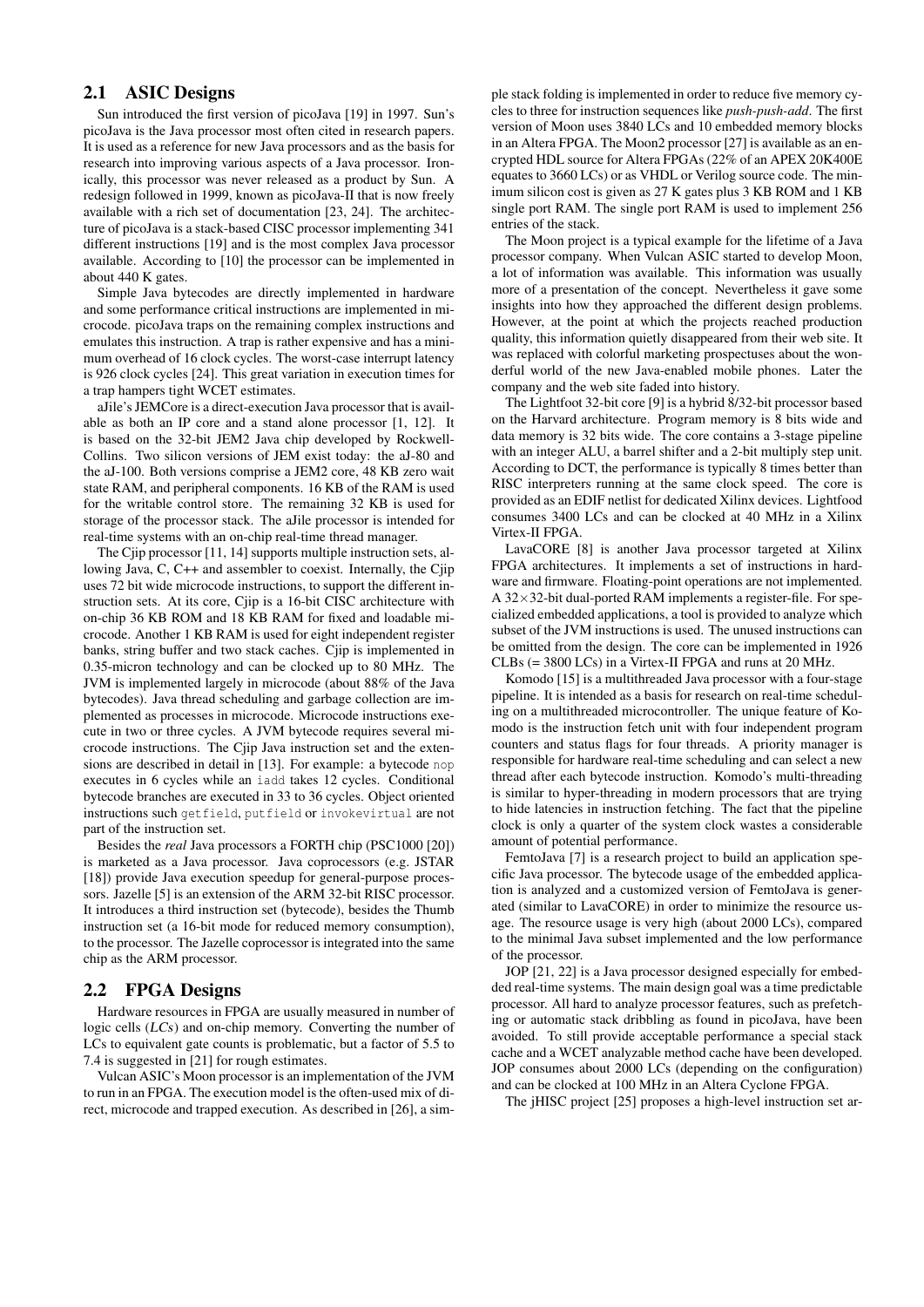# 2.1 ASIC Designs

Sun introduced the first version of picoJava [\[19\]](#page-7-4) in 1997. Sun's picoJava is the Java processor most often cited in research papers. It is used as a reference for new Java processors and as the basis for research into improving various aspects of a Java processor. Ironically, this processor was never released as a product by Sun. A redesign followed in 1999, known as picoJava-II that is now freely available with a rich set of documentation [\[23,](#page-7-5) [24\]](#page-7-6). The architecture of picoJava is a stack-based CISC processor implementing 341 different instructions [\[19\]](#page-7-4) and is the most complex Java processor available. According to [\[10\]](#page-7-0) the processor can be implemented in about 440 K gates.

Simple Java bytecodes are directly implemented in hardware and some performance critical instructions are implemented in microcode. picoJava traps on the remaining complex instructions and emulates this instruction. A trap is rather expensive and has a minimum overhead of 16 clock cycles. The worst-case interrupt latency is 926 clock cycles [\[24\]](#page-7-6). This great variation in execution times for a trap hampers tight WCET estimates.

aJile's JEMCore is a direct-execution Java processor that is available as both an IP core and a stand alone processor [\[1,](#page-7-7) [12\]](#page-7-8). It is based on the 32-bit JEM2 Java chip developed by Rockwell-Collins. Two silicon versions of JEM exist today: the aJ-80 and the aJ-100. Both versions comprise a JEM2 core, 48 KB zero wait state RAM, and peripheral components. 16 KB of the RAM is used for the writable control store. The remaining 32 KB is used for storage of the processor stack. The aJile processor is intended for real-time systems with an on-chip real-time thread manager.

The Cjip processor [\[11,](#page-7-9) [14\]](#page-7-10) supports multiple instruction sets, allowing Java, C, C++ and assembler to coexist. Internally, the Cjip uses 72 bit wide microcode instructions, to support the different instruction sets. At its core, Cjip is a 16-bit CISC architecture with on-chip 36 KB ROM and 18 KB RAM for fixed and loadable microcode. Another 1 KB RAM is used for eight independent register banks, string buffer and two stack caches. Cjip is implemented in 0.35-micron technology and can be clocked up to 80 MHz. The JVM is implemented largely in microcode (about 88% of the Java bytecodes). Java thread scheduling and garbage collection are implemented as processes in microcode. Microcode instructions execute in two or three cycles. A JVM bytecode requires several microcode instructions. The Cjip Java instruction set and the extensions are described in detail in [\[13\]](#page-7-11). For example: a bytecode nop executes in 6 cycles while an iadd takes 12 cycles. Conditional bytecode branches are executed in 33 to 36 cycles. Object oriented instructions such getfield, putfield or invokevirtual are not part of the instruction set.

Besides the *real* Java processors a FORTH chip (PSC1000 [\[20\]](#page-7-12)) is marketed as a Java processor. Java coprocessors (e.g. JSTAR [\[18\]](#page-7-13)) provide Java execution speedup for general-purpose processors. Jazelle [\[5\]](#page-7-14) is an extension of the ARM 32-bit RISC processor. It introduces a third instruction set (bytecode), besides the Thumb instruction set (a 16-bit mode for reduced memory consumption), to the processor. The Jazelle coprocessor is integrated into the same chip as the ARM processor.

## <span id="page-1-0"></span>2.2 FPGA Designs

Hardware resources in FPGA are usually measured in number of logic cells (LCs) and on-chip memory. Converting the number of LCs to equivalent gate counts is problematic, but a factor of 5.5 to 7.4 is suggested in [\[21\]](#page-7-15) for rough estimates.

Vulcan ASIC's Moon processor is an implementation of the JVM to run in an FPGA. The execution model is the often-used mix of direct, microcode and trapped execution. As described in [\[26\]](#page-7-16), a sim-

ple stack folding is implemented in order to reduce five memory cycles to three for instruction sequences like *push-push-add*. The first version of Moon uses 3840 LCs and 10 embedded memory blocks in an Altera FPGA. The Moon2 processor [\[27\]](#page-7-17) is available as an encrypted HDL source for Altera FPGAs (22% of an APEX 20K400E equates to 3660 LCs) or as VHDL or Verilog source code. The minimum silicon cost is given as 27 K gates plus 3 KB ROM and 1 KB single port RAM. The single port RAM is used to implement 256 entries of the stack.

The Moon project is a typical example for the lifetime of a Java processor company. When Vulcan ASIC started to develop Moon, a lot of information was available. This information was usually more of a presentation of the concept. Nevertheless it gave some insights into how they approached the different design problems. However, at the point at which the projects reached production quality, this information quietly disappeared from their web site. It was replaced with colorful marketing prospectuses about the wonderful world of the new Java-enabled mobile phones. Later the company and the web site faded into history.

The Lightfoot 32-bit core [\[9\]](#page-7-18) is a hybrid 8/32-bit processor based on the Harvard architecture. Program memory is 8 bits wide and data memory is 32 bits wide. The core contains a 3-stage pipeline with an integer ALU, a barrel shifter and a 2-bit multiply step unit. According to DCT, the performance is typically 8 times better than RISC interpreters running at the same clock speed. The core is provided as an EDIF netlist for dedicated Xilinx devices. Lightfood consumes 3400 LCs and can be clocked at 40 MHz in a Xilinx Virtex-II FPGA.

LavaCORE [\[8\]](#page-7-19) is another Java processor targeted at Xilinx FPGA architectures. It implements a set of instructions in hardware and firmware. Floating-point operations are not implemented. A 32×32-bit dual-ported RAM implements a register-file. For specialized embedded applications, a tool is provided to analyze which subset of the JVM instructions is used. The unused instructions can be omitted from the design. The core can be implemented in 1926 CLBs (= 3800 LCs) in a Virtex-II FPGA and runs at 20 MHz.

Komodo [\[15\]](#page-7-20) is a multithreaded Java processor with a four-stage pipeline. It is intended as a basis for research on real-time scheduling on a multithreaded microcontroller. The unique feature of Komodo is the instruction fetch unit with four independent program counters and status flags for four threads. A priority manager is responsible for hardware real-time scheduling and can select a new thread after each bytecode instruction. Komodo's multi-threading is similar to hyper-threading in modern processors that are trying to hide latencies in instruction fetching. The fact that the pipeline clock is only a quarter of the system clock wastes a considerable amount of potential performance.

FemtoJava [\[7\]](#page-7-21) is a research project to build an application specific Java processor. The bytecode usage of the embedded application is analyzed and a customized version of FemtoJava is generated (similar to LavaCORE) in order to minimize the resource usage. The resource usage is very high (about 2000 LCs), compared to the minimal Java subset implemented and the low performance of the processor.

JOP [\[21,](#page-7-15) [22\]](#page-7-22) is a Java processor designed especially for embedded real-time systems. The main design goal was a time predictable processor. All hard to analyze processor features, such as prefetching or automatic stack dribbling as found in picoJava, have been avoided. To still provide acceptable performance a special stack cache and a WCET analyzable method cache have been developed. JOP consumes about 2000 LCs (depending on the configuration) and can be clocked at 100 MHz in an Altera Cyclone FPGA.

The jHISC project [\[25\]](#page-7-23) proposes a high-level instruction set ar-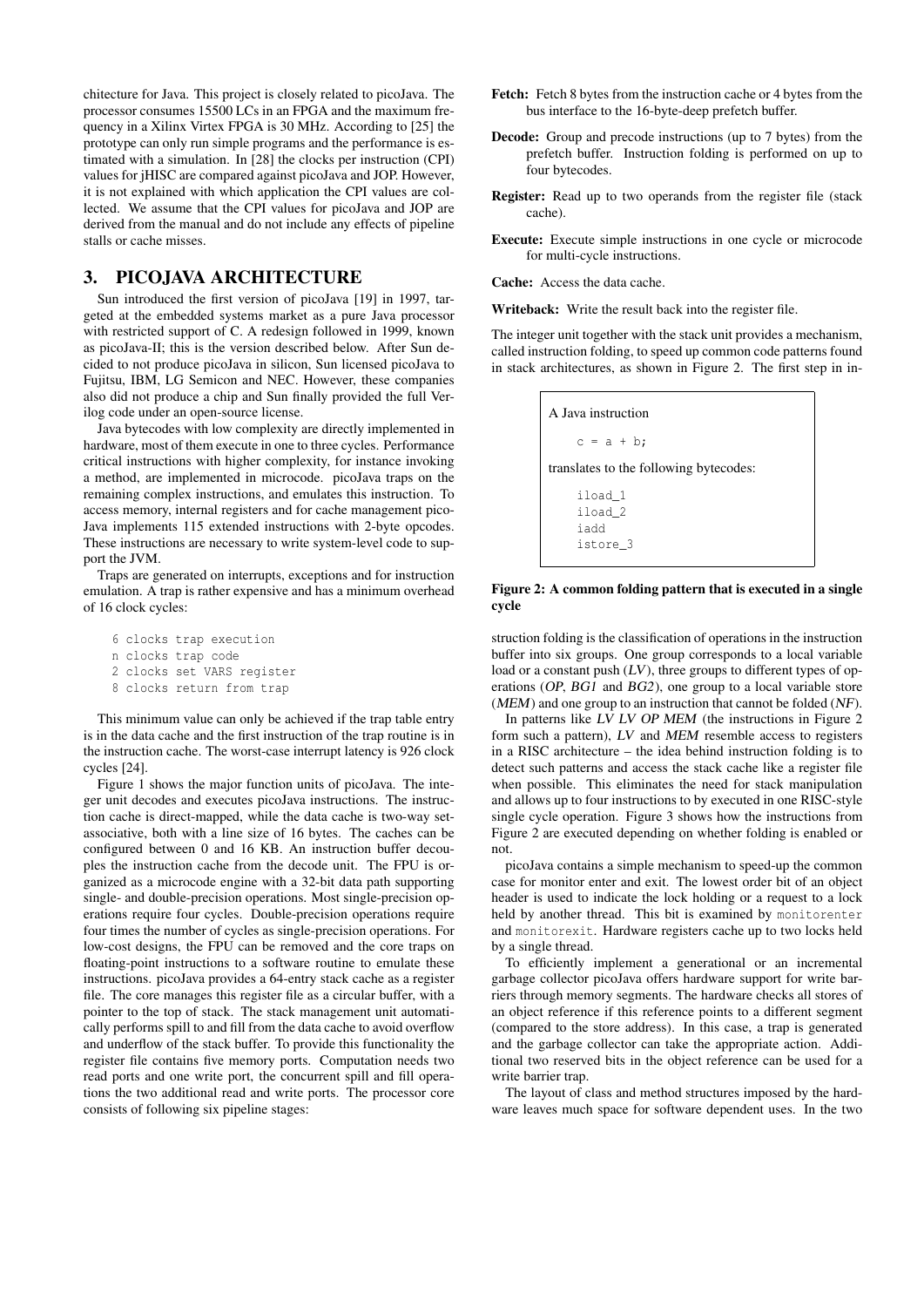chitecture for Java. This project is closely related to picoJava. The processor consumes 15500 LCs in an FPGA and the maximum frequency in a Xilinx Virtex FPGA is 30 MHz. According to [\[25\]](#page-7-23) the prototype can only run simple programs and the performance is estimated with a simulation. In [\[28\]](#page-7-24) the clocks per instruction (CPI) values for jHISC are compared against picoJava and JOP. However, it is not explained with which application the CPI values are collected. We assume that the CPI values for picoJava and JOP are derived from the manual and do not include any effects of pipeline stalls or cache misses.

# <span id="page-2-0"></span>3. PICOJAVA ARCHITECTURE

Sun introduced the first version of picoJava [\[19\]](#page-7-4) in 1997, targeted at the embedded systems market as a pure Java processor with restricted support of C. A redesign followed in 1999, known as picoJava-II; this is the version described below. After Sun decided to not produce picoJava in silicon, Sun licensed picoJava to Fujitsu, IBM, LG Semicon and NEC. However, these companies also did not produce a chip and Sun finally provided the full Verilog code under an open-source license.

Java bytecodes with low complexity are directly implemented in hardware, most of them execute in one to three cycles. Performance critical instructions with higher complexity, for instance invoking a method, are implemented in microcode. picoJava traps on the remaining complex instructions, and emulates this instruction. To access memory, internal registers and for cache management pico-Java implements 115 extended instructions with 2-byte opcodes. These instructions are necessary to write system-level code to support the JVM.

Traps are generated on interrupts, exceptions and for instruction emulation. A trap is rather expensive and has a minimum overhead of 16 clock cycles:

```
6 clocks trap execution
n clocks trap code
2 clocks set VARS register
8 clocks return from trap
```
This minimum value can only be achieved if the trap table entry is in the data cache and the first instruction of the trap routine is in the instruction cache. The worst-case interrupt latency is 926 clock cycles [\[24\]](#page-7-6).

Figure [1](#page-3-1) shows the major function units of picoJava. The integer unit decodes and executes picoJava instructions. The instruction cache is direct-mapped, while the data cache is two-way setassociative, both with a line size of 16 bytes. The caches can be configured between 0 and 16 KB. An instruction buffer decouples the instruction cache from the decode unit. The FPU is organized as a microcode engine with a 32-bit data path supporting single- and double-precision operations. Most single-precision operations require four cycles. Double-precision operations require four times the number of cycles as single-precision operations. For low-cost designs, the FPU can be removed and the core traps on floating-point instructions to a software routine to emulate these instructions. picoJava provides a 64-entry stack cache as a register file. The core manages this register file as a circular buffer, with a pointer to the top of stack. The stack management unit automatically performs spill to and fill from the data cache to avoid overflow and underflow of the stack buffer. To provide this functionality the register file contains five memory ports. Computation needs two read ports and one write port, the concurrent spill and fill operations the two additional read and write ports. The processor core consists of following six pipeline stages:

- Fetch: Fetch 8 bytes from the instruction cache or 4 bytes from the bus interface to the 16-byte-deep prefetch buffer.
- Decode: Group and precode instructions (up to 7 bytes) from the prefetch buffer. Instruction folding is performed on up to four bytecodes.
- Register: Read up to two operands from the register file (stack cache).
- Execute: Execute simple instructions in one cycle or microcode for multi-cycle instructions.

Cache: Access the data cache.

Writeback: Write the result back into the register file.

The integer unit together with the stack unit provides a mechanism, called instruction folding, to speed up common code patterns found in stack architectures, as shown in Figure [2.](#page-2-1) The first step in in-

> A Java instruction  $c = a + b;$ translates to the following bytecodes: iload\_1 iload\_2 iadd istore\_3

#### <span id="page-2-1"></span>Figure 2: A common folding pattern that is executed in a single cycle

struction folding is the classification of operations in the instruction buffer into six groups. One group corresponds to a local variable load or a constant push  $(LV)$ , three groups to different types of operations (OP, BG1 and BG2), one group to a local variable store (MEM) and one group to an instruction that cannot be folded (NF).

In patterns like LV LV OP MEM (the instructions in Figure [2](#page-2-1) form such a pattern), LV and MEM resemble access to registers in a RISC architecture – the idea behind instruction folding is to detect such patterns and access the stack cache like a register file when possible. This eliminates the need for stack manipulation and allows up to four instructions to by executed in one RISC-style single cycle operation. Figure [3](#page-3-2) shows how the instructions from Figure [2](#page-2-1) are executed depending on whether folding is enabled or not.

picoJava contains a simple mechanism to speed-up the common case for monitor enter and exit. The lowest order bit of an object header is used to indicate the lock holding or a request to a lock held by another thread. This bit is examined by monitorenter and monitorexit. Hardware registers cache up to two locks held by a single thread.

To efficiently implement a generational or an incremental garbage collector picoJava offers hardware support for write barriers through memory segments. The hardware checks all stores of an object reference if this reference points to a different segment (compared to the store address). In this case, a trap is generated and the garbage collector can take the appropriate action. Additional two reserved bits in the object reference can be used for a write barrier trap.

The layout of class and method structures imposed by the hardware leaves much space for software dependent uses. In the two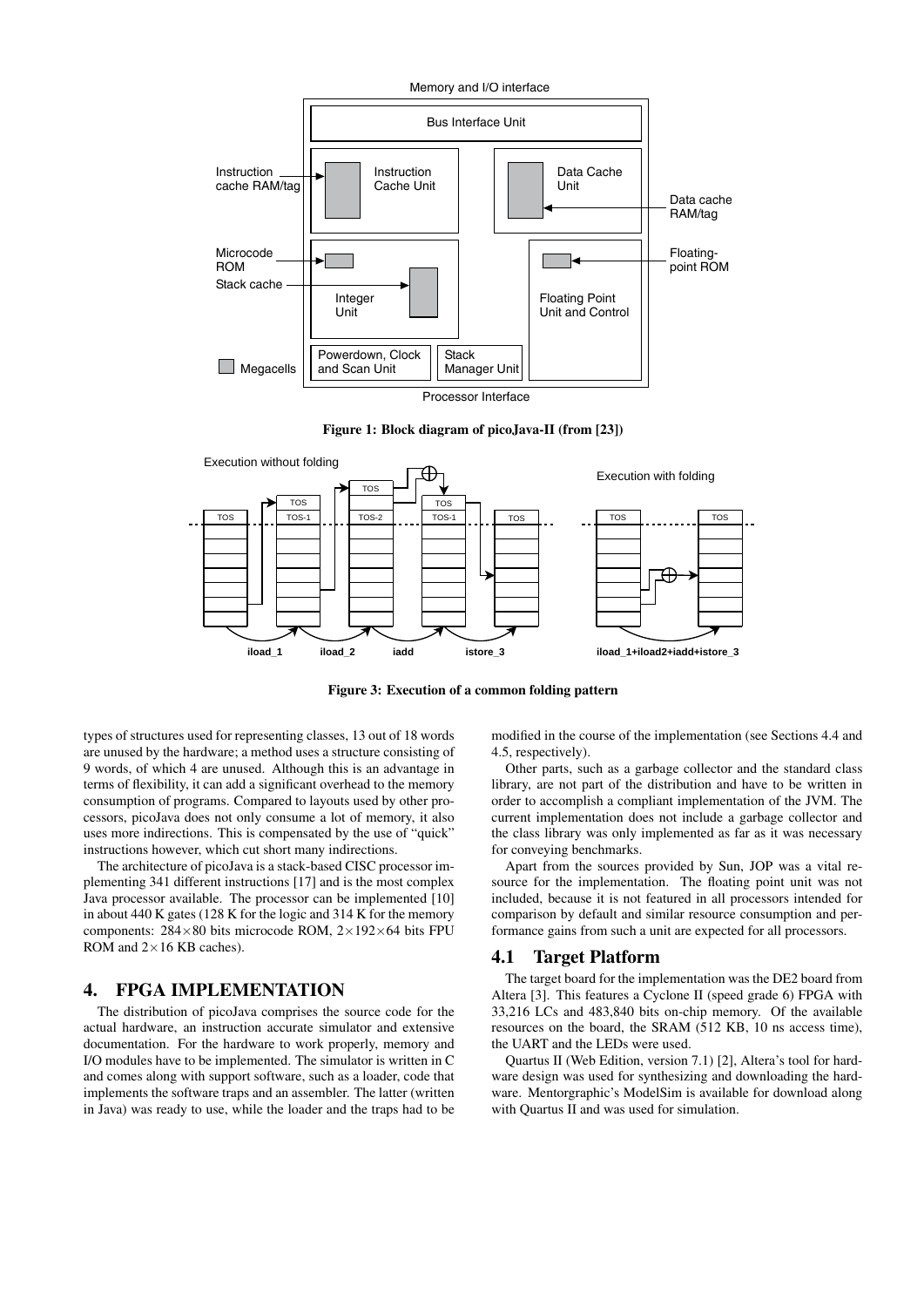

<span id="page-3-1"></span>Figure 1: Block diagram of picoJava-II (from [\[23\]](#page-7-5))



<span id="page-3-2"></span>Figure 3: Execution of a common folding pattern

types of structures used for representing classes, 13 out of 18 words are unused by the hardware; a method uses a structure consisting of 9 words, of which 4 are unused. Although this is an advantage in terms of flexibility, it can add a significant overhead to the memory consumption of programs. Compared to layouts used by other processors, picoJava does not only consume a lot of memory, it also uses more indirections. This is compensated by the use of "quick" instructions however, which cut short many indirections.

The architecture of picoJava is a stack-based CISC processor implementing 341 different instructions [\[17\]](#page-7-3) and is the most complex Java processor available. The processor can be implemented [\[10\]](#page-7-0) in about 440 K gates (128 K for the logic and 314 K for the memory components:  $284\times80$  bits microcode ROM,  $2\times192\times64$  bits FPU ROM and  $2\times16$  KB caches).

#### <span id="page-3-0"></span>4. FPGA IMPLEMENTATION

The distribution of picoJava comprises the source code for the actual hardware, an instruction accurate simulator and extensive documentation. For the hardware to work properly, memory and I/O modules have to be implemented. The simulator is written in C and comes along with support software, such as a loader, code that implements the software traps and an assembler. The latter (written in Java) was ready to use, while the loader and the traps had to be

modified in the course of the implementation (see Sections [4.4](#page-4-0) and [4.5,](#page-5-1) respectively).

Other parts, such as a garbage collector and the standard class library, are not part of the distribution and have to be written in order to accomplish a compliant implementation of the JVM. The current implementation does not include a garbage collector and the class library was only implemented as far as it was necessary for conveying benchmarks.

Apart from the sources provided by Sun, JOP was a vital resource for the implementation. The floating point unit was not included, because it is not featured in all processors intended for comparison by default and similar resource consumption and performance gains from such a unit are expected for all processors.

#### 4.1 Target Platform

The target board for the implementation was the DE2 board from Altera [\[3\]](#page-7-25). This features a Cyclone II (speed grade 6) FPGA with 33,216 LCs and 483,840 bits on-chip memory. Of the available resources on the board, the SRAM (512 KB, 10 ns access time), the UART and the LEDs were used.

Quartus II (Web Edition, version 7.1) [\[2\]](#page-7-26), Altera's tool for hardware design was used for synthesizing and downloading the hardware. Mentorgraphic's ModelSim is available for download along with Quartus II and was used for simulation.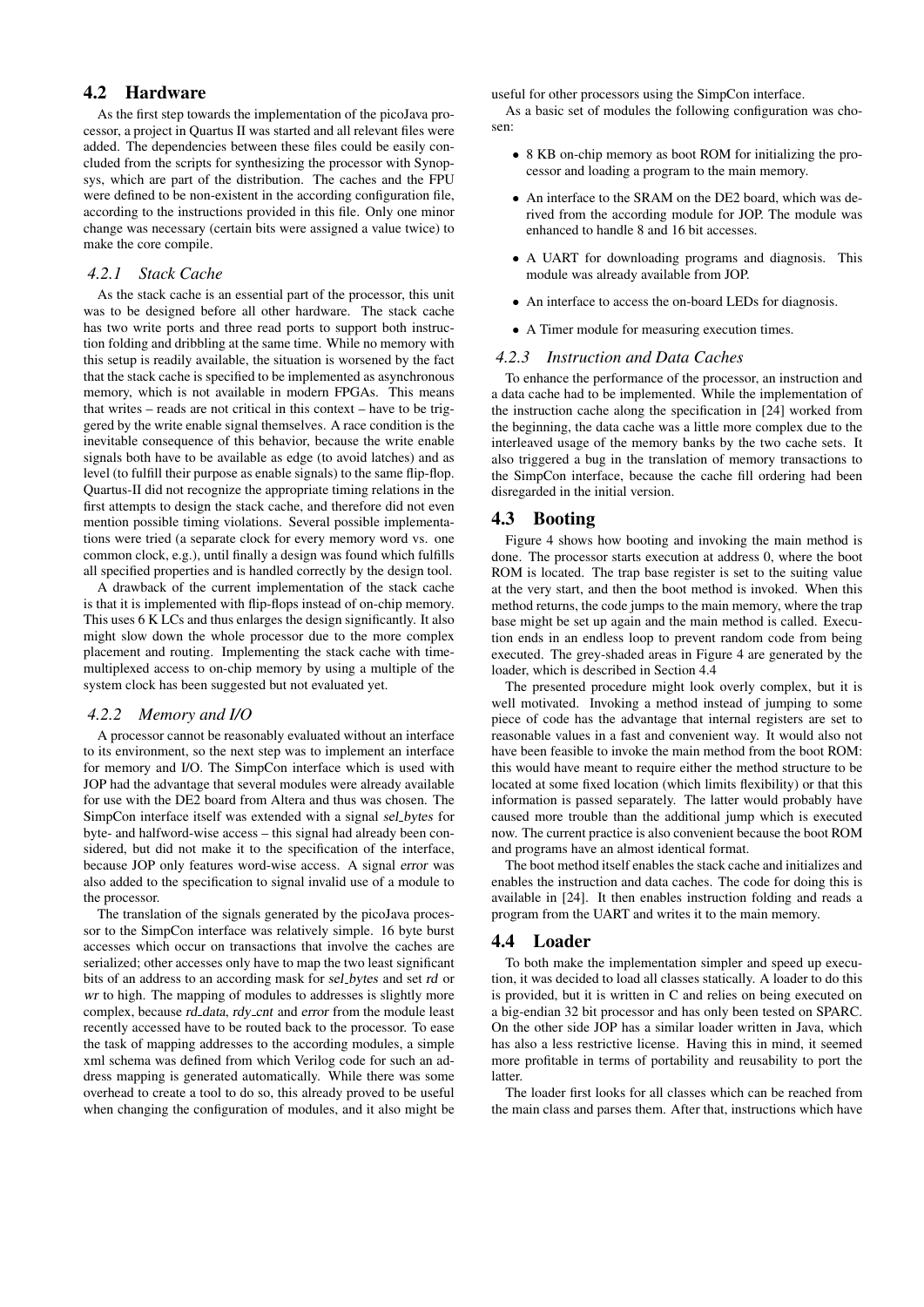# 4.2 Hardware

As the first step towards the implementation of the picoJava processor, a project in Quartus II was started and all relevant files were added. The dependencies between these files could be easily concluded from the scripts for synthesizing the processor with Synopsys, which are part of the distribution. The caches and the FPU were defined to be non-existent in the according configuration file, according to the instructions provided in this file. Only one minor change was necessary (certain bits were assigned a value twice) to make the core compile.

#### *4.2.1 Stack Cache*

As the stack cache is an essential part of the processor, this unit was to be designed before all other hardware. The stack cache has two write ports and three read ports to support both instruction folding and dribbling at the same time. While no memory with this setup is readily available, the situation is worsened by the fact that the stack cache is specified to be implemented as asynchronous memory, which is not available in modern FPGAs. This means that writes – reads are not critical in this context – have to be triggered by the write enable signal themselves. A race condition is the inevitable consequence of this behavior, because the write enable signals both have to be available as edge (to avoid latches) and as level (to fulfill their purpose as enable signals) to the same flip-flop. Quartus-II did not recognize the appropriate timing relations in the first attempts to design the stack cache, and therefore did not even mention possible timing violations. Several possible implementations were tried (a separate clock for every memory word vs. one common clock, e.g.), until finally a design was found which fulfills all specified properties and is handled correctly by the design tool.

A drawback of the current implementation of the stack cache is that it is implemented with flip-flops instead of on-chip memory. This uses 6 K LCs and thus enlarges the design significantly. It also might slow down the whole processor due to the more complex placement and routing. Implementing the stack cache with timemultiplexed access to on-chip memory by using a multiple of the system clock has been suggested but not evaluated yet.

#### *4.2.2 Memory and I/O*

A processor cannot be reasonably evaluated without an interface to its environment, so the next step was to implement an interface for memory and I/O. The SimpCon interface which is used with JOP had the advantage that several modules were already available for use with the DE2 board from Altera and thus was chosen. The SimpCon interface itself was extended with a signal sel bytes for byte- and halfword-wise access – this signal had already been considered, but did not make it to the specification of the interface, because JOP only features word-wise access. A signal error was also added to the specification to signal invalid use of a module to the processor.

The translation of the signals generated by the picoJava processor to the SimpCon interface was relatively simple. 16 byte burst accesses which occur on transactions that involve the caches are serialized; other accesses only have to map the two least significant bits of an address to an according mask for sel\_bytes and set rd or wr to high. The mapping of modules to addresses is slightly more complex, because rd\_data, rdy\_cnt and error from the module least recently accessed have to be routed back to the processor. To ease the task of mapping addresses to the according modules, a simple xml schema was defined from which Verilog code for such an address mapping is generated automatically. While there was some overhead to create a tool to do so, this already proved to be useful when changing the configuration of modules, and it also might be useful for other processors using the SimpCon interface.

As a basic set of modules the following configuration was chosen:

- 8 KB on-chip memory as boot ROM for initializing the processor and loading a program to the main memory.
- An interface to the SRAM on the DE2 board, which was derived from the according module for JOP. The module was enhanced to handle 8 and 16 bit accesses.
- A UART for downloading programs and diagnosis. This module was already available from JOP.
- An interface to access the on-board LEDs for diagnosis.
- A Timer module for measuring execution times.

#### *4.2.3 Instruction and Data Caches*

To enhance the performance of the processor, an instruction and a data cache had to be implemented. While the implementation of the instruction cache along the specification in [\[24\]](#page-7-6) worked from the beginning, the data cache was a little more complex due to the interleaved usage of the memory banks by the two cache sets. It also triggered a bug in the translation of memory transactions to the SimpCon interface, because the cache fill ordering had been disregarded in the initial version.

## <span id="page-4-1"></span>4.3 Booting

Figure [4](#page-5-2) shows how booting and invoking the main method is done. The processor starts execution at address 0, where the boot ROM is located. The trap base register is set to the suiting value at the very start, and then the boot method is invoked. When this method returns, the code jumps to the main memory, where the trap base might be set up again and the main method is called. Execution ends in an endless loop to prevent random code from being executed. The grey-shaded areas in Figure [4](#page-5-2) are generated by the loader, which is described in Section [4.4](#page-4-0)

The presented procedure might look overly complex, but it is well motivated. Invoking a method instead of jumping to some piece of code has the advantage that internal registers are set to reasonable values in a fast and convenient way. It would also not have been feasible to invoke the main method from the boot ROM: this would have meant to require either the method structure to be located at some fixed location (which limits flexibility) or that this information is passed separately. The latter would probably have caused more trouble than the additional jump which is executed now. The current practice is also convenient because the boot ROM and programs have an almost identical format.

The boot method itself enables the stack cache and initializes and enables the instruction and data caches. The code for doing this is available in [\[24\]](#page-7-6). It then enables instruction folding and reads a program from the UART and writes it to the main memory.

## <span id="page-4-0"></span>4.4 Loader

To both make the implementation simpler and speed up execution, it was decided to load all classes statically. A loader to do this is provided, but it is written in C and relies on being executed on a big-endian 32 bit processor and has only been tested on SPARC. On the other side JOP has a similar loader written in Java, which has also a less restrictive license. Having this in mind, it seemed more profitable in terms of portability and reusability to port the latter.

The loader first looks for all classes which can be reached from the main class and parses them. After that, instructions which have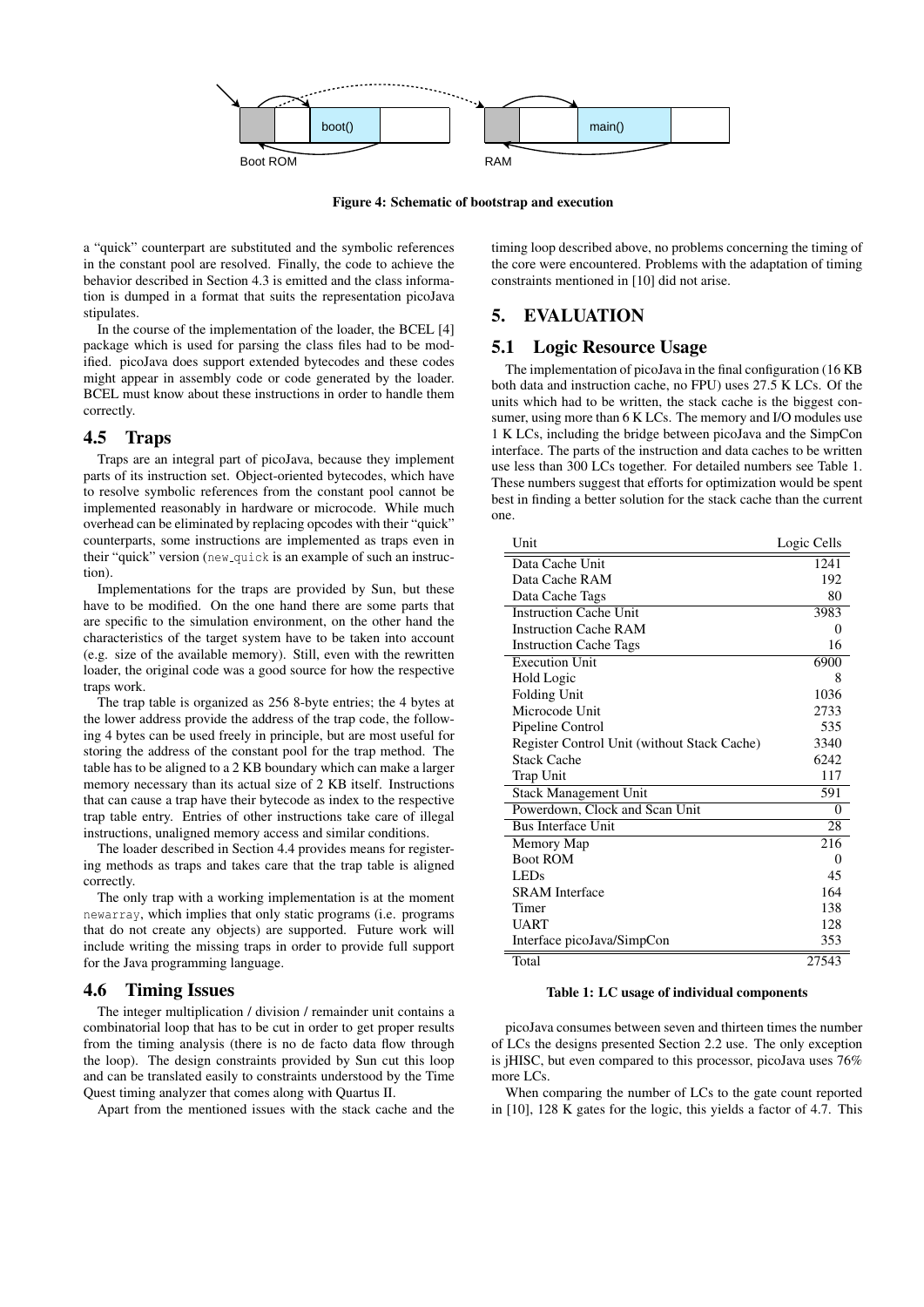

<span id="page-5-2"></span>Figure 4: Schematic of bootstrap and execution

a "quick" counterpart are substituted and the symbolic references in the constant pool are resolved. Finally, the code to achieve the behavior described in Section [4.3](#page-4-1) is emitted and the class information is dumped in a format that suits the representation picoJava stipulates.

In the course of the implementation of the loader, the BCEL [\[4\]](#page-7-27) package which is used for parsing the class files had to be modified. picoJava does support extended bytecodes and these codes might appear in assembly code or code generated by the loader. BCEL must know about these instructions in order to handle them correctly.

## <span id="page-5-1"></span>4.5 Traps

Traps are an integral part of picoJava, because they implement parts of its instruction set. Object-oriented bytecodes, which have to resolve symbolic references from the constant pool cannot be implemented reasonably in hardware or microcode. While much overhead can be eliminated by replacing opcodes with their "quick" counterparts, some instructions are implemented as traps even in their "quick" version (new<sub>-quick</sub> is an example of such an instruction).

Implementations for the traps are provided by Sun, but these have to be modified. On the one hand there are some parts that are specific to the simulation environment, on the other hand the characteristics of the target system have to be taken into account (e.g. size of the available memory). Still, even with the rewritten loader, the original code was a good source for how the respective traps work.

The trap table is organized as 256 8-byte entries; the 4 bytes at the lower address provide the address of the trap code, the following 4 bytes can be used freely in principle, but are most useful for storing the address of the constant pool for the trap method. The table has to be aligned to a 2 KB boundary which can make a larger memory necessary than its actual size of 2 KB itself. Instructions that can cause a trap have their bytecode as index to the respective trap table entry. Entries of other instructions take care of illegal instructions, unaligned memory access and similar conditions.

The loader described in Section [4.4](#page-4-0) provides means for registering methods as traps and takes care that the trap table is aligned correctly.

The only trap with a working implementation is at the moment newarray, which implies that only static programs (i.e. programs that do not create any objects) are supported. Future work will include writing the missing traps in order to provide full support for the Java programming language.

#### 4.6 Timing Issues

The integer multiplication / division / remainder unit contains a combinatorial loop that has to be cut in order to get proper results from the timing analysis (there is no de facto data flow through the loop). The design constraints provided by Sun cut this loop and can be translated easily to constraints understood by the Time Quest timing analyzer that comes along with Quartus II.

Apart from the mentioned issues with the stack cache and the

timing loop described above, no problems concerning the timing of the core were encountered. Problems with the adaptation of timing constraints mentioned in [\[10\]](#page-7-0) did not arise.

# <span id="page-5-0"></span>5. EVALUATION

## 5.1 Logic Resource Usage

The implementation of picoJava in the final configuration (16 KB both data and instruction cache, no FPU) uses 27.5 K LCs. Of the units which had to be written, the stack cache is the biggest consumer, using more than 6 K LCs. The memory and I/O modules use 1 K LCs, including the bridge between picoJava and the SimpCon interface. The parts of the instruction and data caches to be written use less than 300 LCs together. For detailed numbers see Table [1.](#page-5-3) These numbers suggest that efforts for optimization would be spent best in finding a better solution for the stack cache than the current one.

| Unit                                        | Logic Cells |
|---------------------------------------------|-------------|
| Data Cache Unit                             | 1241        |
| Data Cache RAM                              | 192         |
| Data Cache Tags                             | 80          |
| <b>Instruction Cache Unit</b>               | 3983        |
| Instruction Cache RAM                       | 0           |
| <b>Instruction Cache Tags</b>               | 16          |
| <b>Execution Unit</b>                       | 6900        |
| Hold Logic                                  | 8           |
| Folding Unit                                | 1036        |
| Microcode Unit                              | 2733        |
| Pipeline Control                            | 535         |
| Register Control Unit (without Stack Cache) | 3340        |
| Stack Cache                                 | 6242        |
| Trap Unit                                   | 117         |
| <b>Stack Management Unit</b>                | 591         |
| Powerdown, Clock and Scan Unit              | $\Omega$    |
| <b>Bus Interface Unit</b>                   | 28          |
| Memory Map                                  | 216         |
| <b>Boot ROM</b>                             | $\theta$    |
| LEDs                                        | 45          |
| <b>SRAM</b> Interface                       | 164         |
| Timer                                       | 138         |
| UART                                        | 128         |
| Interface picoJava/SimpCon                  | 353         |
| Total                                       | 27543       |

#### <span id="page-5-3"></span>Table 1: LC usage of individual components

picoJava consumes between seven and thirteen times the number of LCs the designs presented Section [2.2](#page-1-0) use. The only exception is jHISC, but even compared to this processor, picoJava uses 76% more LCs.

When comparing the number of LCs to the gate count reported in [\[10\]](#page-7-0), 128 K gates for the logic, this yields a factor of 4.7. This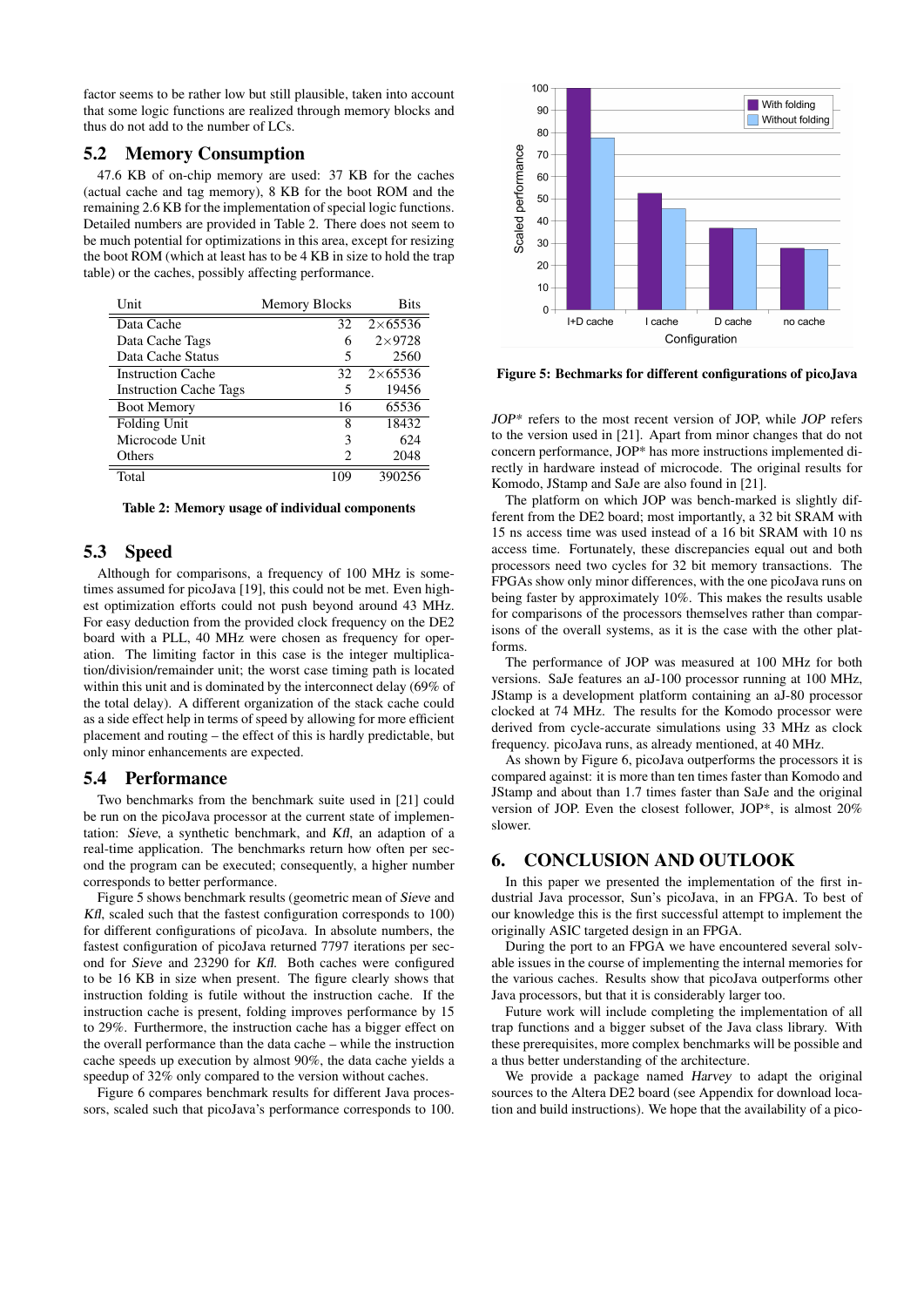factor seems to be rather low but still plausible, taken into account that some logic functions are realized through memory blocks and thus do not add to the number of LCs.

## 5.2 Memory Consumption

47.6 KB of on-chip memory are used: 37 KB for the caches (actual cache and tag memory), 8 KB for the boot ROM and the remaining 2.6 KB for the implementation of special logic functions. Detailed numbers are provided in Table [2.](#page-6-1) There does not seem to be much potential for optimizations in this area, except for resizing the boot ROM (which at least has to be 4 KB in size to hold the trap table) or the caches, possibly affecting performance.

| Unit                          | <b>Memory Blocks</b> | <b>Bits</b>     |
|-------------------------------|----------------------|-----------------|
| Data Cache                    | 32                   | $2\times 65536$ |
| Data Cache Tags               | 6                    | $2\times9728$   |
| Data Cache Status             | 5                    | 2560            |
| <b>Instruction Cache</b>      | 32                   | $2\times 65536$ |
| <b>Instruction Cache Tags</b> | 5                    | 19456           |
| <b>Boot Memory</b>            | 16                   | 65536           |
| Folding Unit                  | 8                    | 18432           |
| Microcode Unit                | 3                    | 624             |
| Others                        | 2                    | 2048            |
| Total                         |                      | 390             |

<span id="page-6-1"></span>

|  |  |  |  | Table 2: Memory usage of individual components |
|--|--|--|--|------------------------------------------------|
|--|--|--|--|------------------------------------------------|

## 5.3 Speed

Although for comparisons, a frequency of 100 MHz is sometimes assumed for picoJava [\[19\]](#page-7-4), this could not be met. Even highest optimization efforts could not push beyond around 43 MHz. For easy deduction from the provided clock frequency on the DE2 board with a PLL, 40 MHz were chosen as frequency for operation. The limiting factor in this case is the integer multiplication/division/remainder unit; the worst case timing path is located within this unit and is dominated by the interconnect delay (69% of the total delay). A different organization of the stack cache could as a side effect help in terms of speed by allowing for more efficient placement and routing – the effect of this is hardly predictable, but only minor enhancements are expected.

### 5.4 Performance

Two benchmarks from the benchmark suite used in [\[21\]](#page-7-15) could be run on the picoJava processor at the current state of implementation: Sieve, a synthetic benchmark, and Kfl, an adaption of a real-time application. The benchmarks return how often per second the program can be executed; consequently, a higher number corresponds to better performance.

Figure [5](#page-6-2) shows benchmark results (geometric mean of Sieve and Kfl, scaled such that the fastest configuration corresponds to 100) for different configurations of picoJava. In absolute numbers, the fastest configuration of picoJava returned 7797 iterations per second for Sieve and 23290 for Kfl. Both caches were configured to be 16 KB in size when present. The figure clearly shows that instruction folding is futile without the instruction cache. If the instruction cache is present, folding improves performance by 15 to 29%. Furthermore, the instruction cache has a bigger effect on the overall performance than the data cache – while the instruction cache speeds up execution by almost 90%, the data cache yields a speedup of 32% only compared to the version without caches.

Figure [6](#page-7-28) compares benchmark results for different Java processors, scaled such that picoJava's performance corresponds to 100.



<span id="page-6-2"></span>Figure 5: Bechmarks for different configurations of picoJava

JOP\* refers to the most recent version of JOP, while JOP refers to the version used in [\[21\]](#page-7-15). Apart from minor changes that do not concern performance, JOP\* has more instructions implemented directly in hardware instead of microcode. The original results for Komodo, JStamp and SaJe are also found in [\[21\]](#page-7-15).

The platform on which JOP was bench-marked is slightly different from the DE2 board; most importantly, a 32 bit SRAM with 15 ns access time was used instead of a 16 bit SRAM with 10 ns access time. Fortunately, these discrepancies equal out and both processors need two cycles for 32 bit memory transactions. The FPGAs show only minor differences, with the one picoJava runs on being faster by approximately 10%. This makes the results usable for comparisons of the processors themselves rather than comparisons of the overall systems, as it is the case with the other platforms.

The performance of JOP was measured at 100 MHz for both versions. SaJe features an aJ-100 processor running at 100 MHz, JStamp is a development platform containing an aJ-80 processor clocked at 74 MHz. The results for the Komodo processor were derived from cycle-accurate simulations using 33 MHz as clock frequency. picoJava runs, as already mentioned, at 40 MHz.

As shown by Figure [6,](#page-7-28) picoJava outperforms the processors it is compared against: it is more than ten times faster than Komodo and JStamp and about than 1.7 times faster than SaJe and the original version of JOP. Even the closest follower, JOP\*, is almost 20% slower.

# <span id="page-6-0"></span>6. CONCLUSION AND OUTLOOK

In this paper we presented the implementation of the first industrial Java processor, Sun's picoJava, in an FPGA. To best of our knowledge this is the first successful attempt to implement the originally ASIC targeted design in an FPGA.

During the port to an FPGA we have encountered several solvable issues in the course of implementing the internal memories for the various caches. Results show that picoJava outperforms other Java processors, but that it is considerably larger too.

Future work will include completing the implementation of all trap functions and a bigger subset of the Java class library. With these prerequisites, more complex benchmarks will be possible and a thus better understanding of the architecture.

We provide a package named Harvey to adapt the original sources to the Altera DE2 board (see Appendix for download location and build instructions). We hope that the availability of a pico-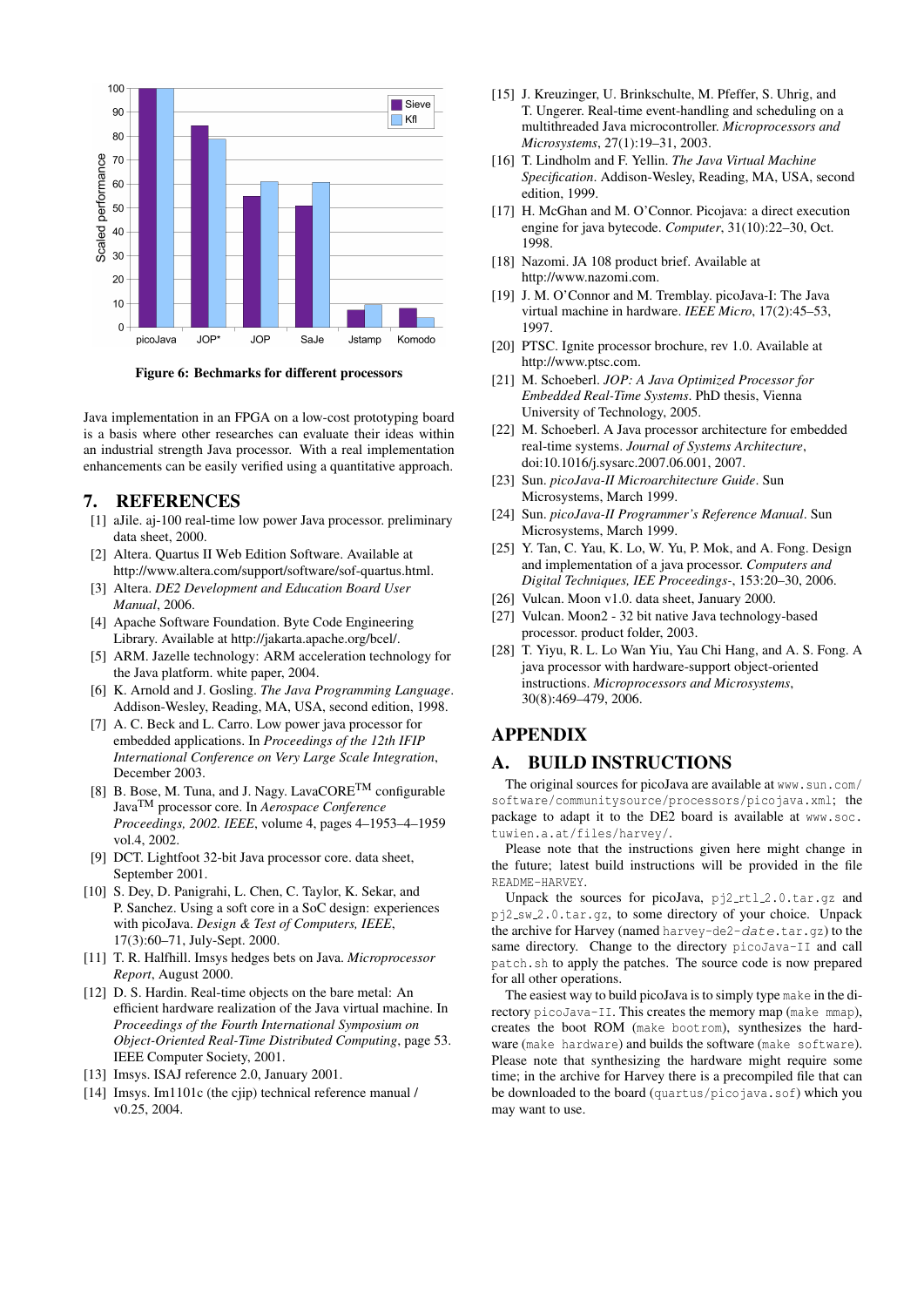

<span id="page-7-28"></span>

Java implementation in an FPGA on a low-cost prototyping board is a basis where other researches can evaluate their ideas within an industrial strength Java processor. With a real implementation enhancements can be easily verified using a quantitative approach.

# 7. REFERENCES

- <span id="page-7-7"></span>[1] aJile. aj-100 real-time low power Java processor. preliminary data sheet, 2000.
- <span id="page-7-26"></span>[2] Altera. Quartus II Web Edition Software. Available at http://www.altera.com/support/software/sof-quartus.html.
- <span id="page-7-25"></span>[3] Altera. *DE2 Development and Education Board User Manual*, 2006.
- <span id="page-7-27"></span>[4] Apache Software Foundation. Byte Code Engineering Library. Available at http://jakarta.apache.org/bcel/.
- <span id="page-7-14"></span>[5] ARM. Jazelle technology: ARM acceleration technology for the Java platform. white paper, 2004.
- <span id="page-7-2"></span>[6] K. Arnold and J. Gosling. *The Java Programming Language*. Addison-Wesley, Reading, MA, USA, second edition, 1998.
- <span id="page-7-21"></span>[7] A. C. Beck and L. Carro. Low power java processor for embedded applications. In *Proceedings of the 12th IFIP International Conference on Very Large Scale Integration*, December 2003.
- <span id="page-7-19"></span>[8] B. Bose, M. Tuna, and J. Nagy. LavaCORE<sup>TM</sup> configurable JavaTM processor core. In *Aerospace Conference Proceedings, 2002. IEEE*, volume 4, pages 4–1953–4–1959 vol.4, 2002.
- <span id="page-7-18"></span>[9] DCT. Lightfoot 32-bit Java processor core. data sheet, September 2001.
- <span id="page-7-0"></span>[10] S. Dey, D. Panigrahi, L. Chen, C. Taylor, K. Sekar, and P. Sanchez. Using a soft core in a SoC design: experiences with picoJava. *Design & Test of Computers, IEEE*, 17(3):60–71, July-Sept. 2000.
- <span id="page-7-9"></span>[11] T. R. Halfhill. Imsys hedges bets on Java. *Microprocessor Report*, August 2000.
- <span id="page-7-8"></span>[12] D. S. Hardin. Real-time objects on the bare metal: An efficient hardware realization of the Java virtual machine. In *Proceedings of the Fourth International Symposium on Object-Oriented Real-Time Distributed Computing*, page 53. IEEE Computer Society, 2001.
- <span id="page-7-11"></span>[13] Imsys. ISAJ reference 2.0, January 2001.
- <span id="page-7-10"></span>[14] Imsys. Im1101c (the cjip) technical reference manual / v0.25, 2004.
- <span id="page-7-20"></span>[15] J. Kreuzinger, U. Brinkschulte, M. Pfeffer, S. Uhrig, and T. Ungerer. Real-time event-handling and scheduling on a multithreaded Java microcontroller. *Microprocessors and Microsystems*, 27(1):19–31, 2003.
- <span id="page-7-1"></span>[16] T. Lindholm and F. Yellin. *The Java Virtual Machine Specification*. Addison-Wesley, Reading, MA, USA, second edition, 1999.
- <span id="page-7-3"></span>[17] H. McGhan and M. O'Connor. Picojava: a direct execution engine for java bytecode. *Computer*, 31(10):22–30, Oct. 1998.
- <span id="page-7-13"></span>[18] Nazomi. JA 108 product brief. Available at http://www.nazomi.com.
- <span id="page-7-4"></span>[19] J. M. O'Connor and M. Tremblay. picoJava-I: The Java virtual machine in hardware. *IEEE Micro*, 17(2):45–53, 1997.
- <span id="page-7-12"></span>[20] PTSC. Ignite processor brochure, rev 1.0. Available at http://www.ptsc.com.
- <span id="page-7-15"></span>[21] M. Schoeberl. *JOP: A Java Optimized Processor for Embedded Real-Time Systems*. PhD thesis, Vienna University of Technology, 2005.
- <span id="page-7-22"></span>[22] M. Schoeberl. A Java processor architecture for embedded real-time systems. *Journal of Systems Architecture*, doi:10.1016/j.sysarc.2007.06.001, 2007.
- <span id="page-7-5"></span>[23] Sun. *picoJava-II Microarchitecture Guide*. Sun Microsystems, March 1999.
- <span id="page-7-6"></span>[24] Sun. *picoJava-II Programmer's Reference Manual*. Sun Microsystems, March 1999.
- <span id="page-7-23"></span>[25] Y. Tan, C. Yau, K. Lo, W. Yu, P. Mok, and A. Fong. Design and implementation of a java processor. *Computers and Digital Techniques, IEE Proceedings-*, 153:20–30, 2006.
- <span id="page-7-16"></span>[26] Vulcan. Moon v1.0. data sheet, January 2000.
- <span id="page-7-17"></span>[27] Vulcan. Moon2 - 32 bit native Java technology-based processor. product folder, 2003.
- <span id="page-7-24"></span>[28] T. Yiyu, R. L. Lo Wan Yiu, Yau Chi Hang, and A. S. Fong. A java processor with hardware-support object-oriented instructions. *Microprocessors and Microsystems*, 30(8):469–479, 2006.

# APPENDIX

## A. BUILD INSTRUCTIONS

The original sources for picoJava are available at [www.sun.com/](www.sun.com/software/communitysource/processors/picojava.xml) [software/communitysource/processors/picojava.xml](www.sun.com/software/communitysource/processors/picojava.xml); the package to adapt it to the DE2 board is available at [www.soc.](www.soc.tuwien.a.at/files/harvey/) [tuwien.a.at/files/harvey/](www.soc.tuwien.a.at/files/harvey/).

Please note that the instructions given here might change in the future; latest build instructions will be provided in the file README-HARVEY.

Unpack the sources for picoJava, pj2\_rtl\_2.0.tar.gz and pj2 sw 2.0.tar.gz, to some directory of your choice. Unpack the archive for Harvey (named harvey-de2-date.tar.gz) to the same directory. Change to the directory picoJava-II and call patch.sh to apply the patches. The source code is now prepared for all other operations.

The easiest way to build picoJava is to simply type make in the directory picoJava-II. This creates the memory map (make mmap), creates the boot ROM (make bootrom), synthesizes the hardware (make hardware) and builds the software (make software). Please note that synthesizing the hardware might require some time; in the archive for Harvey there is a precompiled file that can be downloaded to the board (quartus/picojava.sof) which you may want to use.